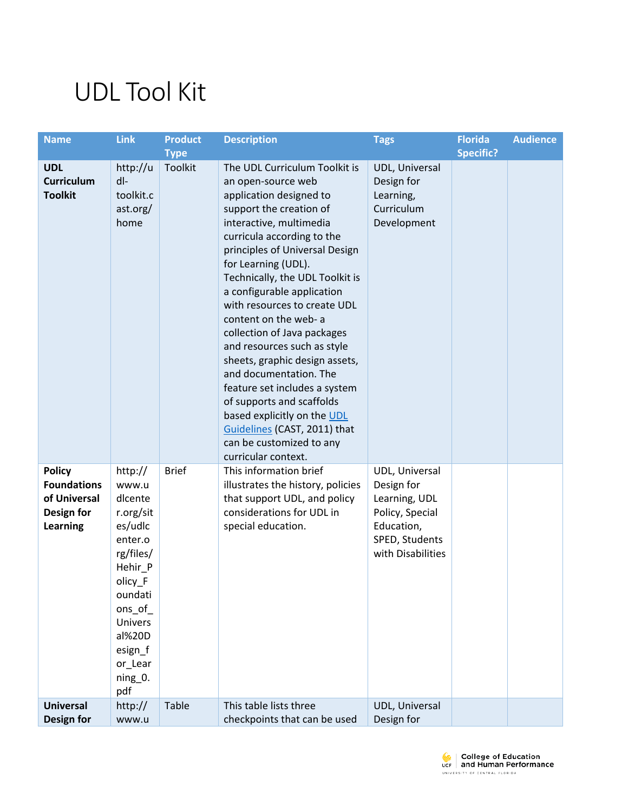## UDL Tool Kit

| <b>Name</b>                                                                          | <b>Link</b>                                                                                                                                                                                             | <b>Product</b> | <b>Description</b>                                                                                                                                                                                                                                                                                                                                                                                                                                                                                                                                                                                                                                              | <b>Tags</b>                                                                                                           | <b>Florida</b>   | <b>Audience</b> |
|--------------------------------------------------------------------------------------|---------------------------------------------------------------------------------------------------------------------------------------------------------------------------------------------------------|----------------|-----------------------------------------------------------------------------------------------------------------------------------------------------------------------------------------------------------------------------------------------------------------------------------------------------------------------------------------------------------------------------------------------------------------------------------------------------------------------------------------------------------------------------------------------------------------------------------------------------------------------------------------------------------------|-----------------------------------------------------------------------------------------------------------------------|------------------|-----------------|
|                                                                                      |                                                                                                                                                                                                         | <b>Type</b>    |                                                                                                                                                                                                                                                                                                                                                                                                                                                                                                                                                                                                                                                                 |                                                                                                                       | <b>Specific?</b> |                 |
| <b>UDL</b><br><b>Curriculum</b><br><b>Toolkit</b>                                    | http://u<br>$dl -$<br>toolkit.c<br>ast.org/<br>home                                                                                                                                                     | <b>Toolkit</b> | The UDL Curriculum Toolkit is<br>an open-source web<br>application designed to<br>support the creation of<br>interactive, multimedia<br>curricula according to the<br>principles of Universal Design<br>for Learning (UDL).<br>Technically, the UDL Toolkit is<br>a configurable application<br>with resources to create UDL<br>content on the web- a<br>collection of Java packages<br>and resources such as style<br>sheets, graphic design assets,<br>and documentation. The<br>feature set includes a system<br>of supports and scaffolds<br>based explicitly on the UDL<br>Guidelines (CAST, 2011) that<br>can be customized to any<br>curricular context. | <b>UDL, Universal</b><br>Design for<br>Learning,<br>Curriculum<br>Development                                         |                  |                 |
| <b>Policy</b><br><b>Foundations</b><br>of Universal<br>Design for<br><b>Learning</b> | http://<br>www.u<br>dlcente<br>r.org/sit<br>es/udlc<br>enter.o<br>rg/files/<br>Hehir P<br>olicy_F<br>oundati<br>ons_of_<br><b>Univers</b><br>al%20D<br>esign_f<br>or_Lear<br>ning <sub>0</sub> .<br>pdf | <b>Brief</b>   | This information brief<br>illustrates the history, policies<br>that support UDL, and policy<br>considerations for UDL in<br>special education.                                                                                                                                                                                                                                                                                                                                                                                                                                                                                                                  | UDL, Universal<br>Design for<br>Learning, UDL<br>Policy, Special<br>Education,<br>SPED, Students<br>with Disabilities |                  |                 |
| <b>Universal</b><br><b>Design for</b>                                                | http://<br>www.u                                                                                                                                                                                        | Table          | This table lists three<br>checkpoints that can be used                                                                                                                                                                                                                                                                                                                                                                                                                                                                                                                                                                                                          | UDL, Universal<br>Design for                                                                                          |                  |                 |

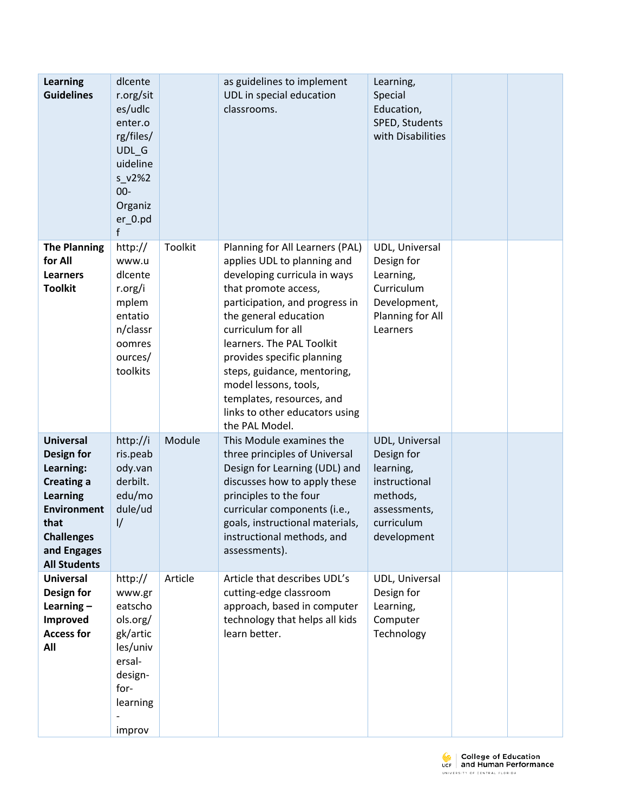| <b>Learning</b><br><b>Guidelines</b>                                                                                                                                         | dlcente<br>r.org/sit<br>es/udlc<br>enter.o<br>rg/files/<br>UDL <sub>G</sub><br>uideline<br>$s$ $v2\%2$<br>$00 -$<br>Organiz<br>er_0.pd<br>f |         | as guidelines to implement<br>UDL in special education<br>classrooms.                                                                                                                                                                                                                                                                                                                                       | Learning,<br>Special<br>Education,<br>SPED, Students<br>with Disabilities                                           |  |
|------------------------------------------------------------------------------------------------------------------------------------------------------------------------------|---------------------------------------------------------------------------------------------------------------------------------------------|---------|-------------------------------------------------------------------------------------------------------------------------------------------------------------------------------------------------------------------------------------------------------------------------------------------------------------------------------------------------------------------------------------------------------------|---------------------------------------------------------------------------------------------------------------------|--|
| <b>The Planning</b><br>for All<br><b>Learners</b><br><b>Toolkit</b>                                                                                                          | http://<br>www.u<br>dlcente<br>r.org/i<br>mplem<br>entatio<br>n/classr<br>oomres<br>ources/<br>toolkits                                     | Toolkit | Planning for All Learners (PAL)<br>applies UDL to planning and<br>developing curricula in ways<br>that promote access,<br>participation, and progress in<br>the general education<br>curriculum for all<br>learners. The PAL Toolkit<br>provides specific planning<br>steps, guidance, mentoring,<br>model lessons, tools,<br>templates, resources, and<br>links to other educators using<br>the PAL Model. | UDL, Universal<br>Design for<br>Learning,<br>Curriculum<br>Development,<br>Planning for All<br>Learners             |  |
| <b>Universal</b><br>Design for<br>Learning:<br><b>Creating a</b><br><b>Learning</b><br><b>Environment</b><br>that<br><b>Challenges</b><br>and Engages<br><b>All Students</b> | http://i<br>ris.peab<br>ody.van<br>derbilt.<br>edu/mo<br>dule/ud<br>$\frac{1}{2}$                                                           | Module  | This Module examines the<br>three principles of Universal<br>Design for Learning (UDL) and<br>discusses how to apply these<br>principles to the four<br>curricular components (i.e.,<br>goals, instructional materials,<br>instructional methods, and<br>assessments).                                                                                                                                      | UDL, Universal<br>Design for<br>learning,<br>instructional<br>methods,<br>assessments,<br>curriculum<br>development |  |
| <b>Universal</b><br>Design for<br>Learning $-$<br>Improved<br><b>Access for</b><br>All                                                                                       | http://<br>www.gr<br>eatscho<br>ols.org/<br>gk/artic<br>les/univ<br>ersal-<br>design-<br>for-<br>learning<br>improv                         | Article | Article that describes UDL's<br>cutting-edge classroom<br>approach, based in computer<br>technology that helps all kids<br>learn better.                                                                                                                                                                                                                                                                    | UDL, Universal<br>Design for<br>Learning,<br>Computer<br>Technology                                                 |  |

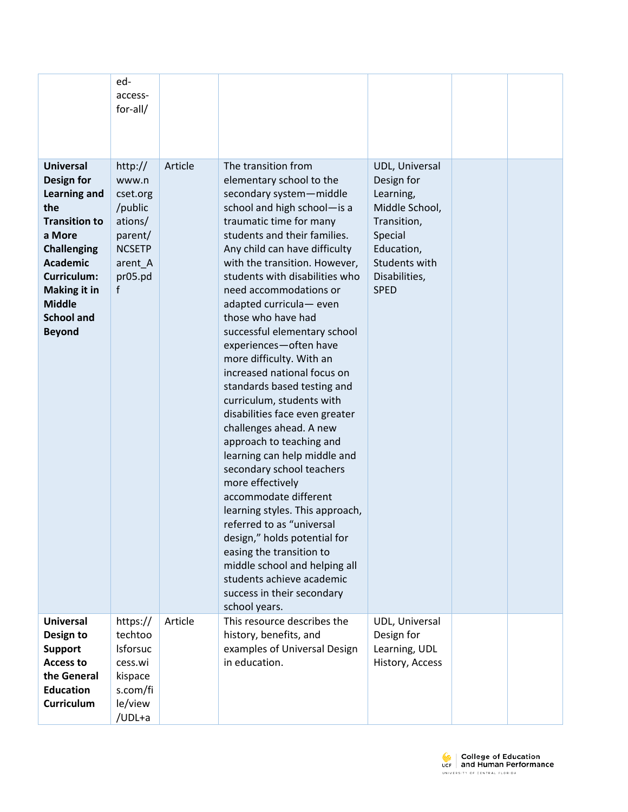|                                                                                                                                                                                                                                             | ed-<br>access-<br>for-all/                                                                                |         |                                                                                                                                                                                                                                                                                                                                                                                                                                                                                                                                                                                                                                                                                                                                                                                                                                                                                                                                                                |                                                                                                                                                      |  |
|---------------------------------------------------------------------------------------------------------------------------------------------------------------------------------------------------------------------------------------------|-----------------------------------------------------------------------------------------------------------|---------|----------------------------------------------------------------------------------------------------------------------------------------------------------------------------------------------------------------------------------------------------------------------------------------------------------------------------------------------------------------------------------------------------------------------------------------------------------------------------------------------------------------------------------------------------------------------------------------------------------------------------------------------------------------------------------------------------------------------------------------------------------------------------------------------------------------------------------------------------------------------------------------------------------------------------------------------------------------|------------------------------------------------------------------------------------------------------------------------------------------------------|--|
| <b>Universal</b><br><b>Design for</b><br>Learning and<br>the<br><b>Transition to</b><br>a More<br><b>Challenging</b><br><b>Academic</b><br><b>Curriculum:</b><br><b>Making it in</b><br><b>Middle</b><br><b>School and</b><br><b>Beyond</b> | http://<br>www.n<br>cset.org<br>/public<br>ations/<br>parent/<br><b>NCSETP</b><br>arent A<br>pr05.pd<br>f | Article | The transition from<br>elementary school to the<br>secondary system-middle<br>school and high school-is a<br>traumatic time for many<br>students and their families.<br>Any child can have difficulty<br>with the transition. However,<br>students with disabilities who<br>need accommodations or<br>adapted curricula-even<br>those who have had<br>successful elementary school<br>experiences-often have<br>more difficulty. With an<br>increased national focus on<br>standards based testing and<br>curriculum, students with<br>disabilities face even greater<br>challenges ahead. A new<br>approach to teaching and<br>learning can help middle and<br>secondary school teachers<br>more effectively<br>accommodate different<br>learning styles. This approach,<br>referred to as "universal<br>design," holds potential for<br>easing the transition to<br>middle school and helping all<br>students achieve academic<br>success in their secondary | UDL, Universal<br>Design for<br>Learning,<br>Middle School,<br>Transition,<br>Special<br>Education,<br>Students with<br>Disabilities,<br><b>SPED</b> |  |
| <b>Universal</b><br>Design to<br><b>Support</b><br><b>Access to</b><br>the General<br><b>Education</b><br><b>Curriculum</b>                                                                                                                 | https://<br>techtoo<br>Isforsuc<br>cess.wi<br>kispace<br>s.com/fi<br>le/view<br>/UDL+a                    | Article | school years.<br>This resource describes the<br>history, benefits, and<br>examples of Universal Design<br>in education.                                                                                                                                                                                                                                                                                                                                                                                                                                                                                                                                                                                                                                                                                                                                                                                                                                        | UDL, Universal<br>Design for<br>Learning, UDL<br>History, Access                                                                                     |  |

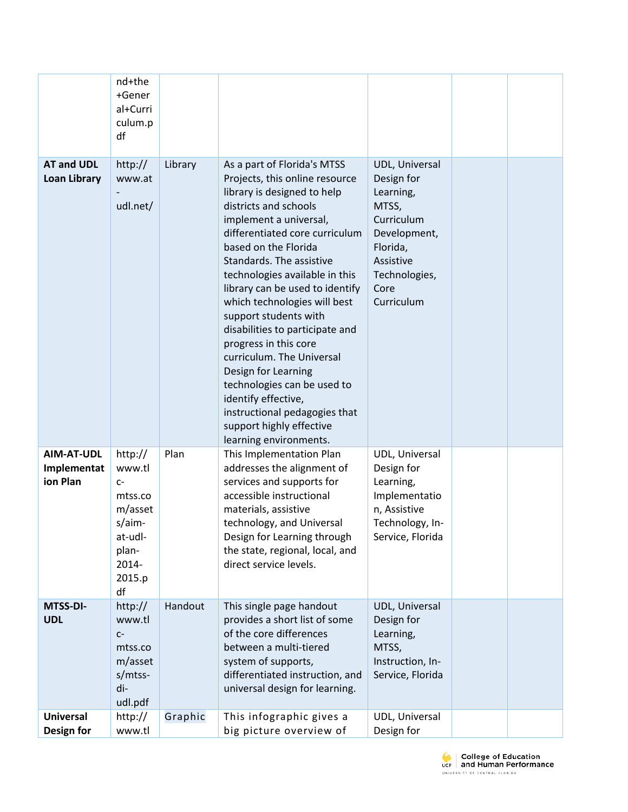|                                          | nd+the<br>+Gener<br>al+Curri<br>culum.p<br>df                                                          |         |                                                                                                                                                                                                                                                                                                                                                                                                                                                                                                                                                                                                                                  |                                                                                                                                                  |  |
|------------------------------------------|--------------------------------------------------------------------------------------------------------|---------|----------------------------------------------------------------------------------------------------------------------------------------------------------------------------------------------------------------------------------------------------------------------------------------------------------------------------------------------------------------------------------------------------------------------------------------------------------------------------------------------------------------------------------------------------------------------------------------------------------------------------------|--------------------------------------------------------------------------------------------------------------------------------------------------|--|
| <b>AT and UDL</b><br><b>Loan Library</b> | http://<br>www.at<br>udl.net/                                                                          | Library | As a part of Florida's MTSS<br>Projects, this online resource<br>library is designed to help<br>districts and schools<br>implement a universal,<br>differentiated core curriculum<br>based on the Florida<br>Standards. The assistive<br>technologies available in this<br>library can be used to identify<br>which technologies will best<br>support students with<br>disabilities to participate and<br>progress in this core<br>curriculum. The Universal<br>Design for Learning<br>technologies can be used to<br>identify effective,<br>instructional pedagogies that<br>support highly effective<br>learning environments. | UDL, Universal<br>Design for<br>Learning,<br>MTSS,<br>Curriculum<br>Development,<br>Florida,<br>Assistive<br>Technologies,<br>Core<br>Curriculum |  |
| AIM-AT-UDL<br>Implementat<br>ion Plan    | http://<br>www.tl<br>$C-$<br>mtss.co<br>m/asset<br>s/aim-<br>at-udl-<br>plan-<br>2014-<br>2015.p<br>df | Plan    | This Implementation Plan<br>addresses the alignment of<br>services and supports for<br>accessible instructional<br>materials, assistive<br>technology, and Universal<br>Design for Learning through<br>the state, regional, local, and<br>direct service levels.                                                                                                                                                                                                                                                                                                                                                                 | UDL, Universal<br>Design for<br>Learning,<br>Implementatio<br>n, Assistive<br>Technology, In-<br>Service, Florida                                |  |
| MTSS-DI-<br><b>UDL</b>                   | http://<br>www.tl<br>$C-$<br>mtss.co<br>m/asset<br>s/mtss-<br>di-<br>udl.pdf                           | Handout | This single page handout<br>provides a short list of some<br>of the core differences<br>between a multi-tiered<br>system of supports,<br>differentiated instruction, and<br>universal design for learning.                                                                                                                                                                                                                                                                                                                                                                                                                       | UDL, Universal<br>Design for<br>Learning,<br>MTSS,<br>Instruction, In-<br>Service, Florida                                                       |  |
| <b>Universal</b><br>Design for           | http://<br>www.tl                                                                                      | Graphic | This infographic gives a<br>big picture overview of                                                                                                                                                                                                                                                                                                                                                                                                                                                                                                                                                                              | UDL, Universal<br>Design for                                                                                                                     |  |

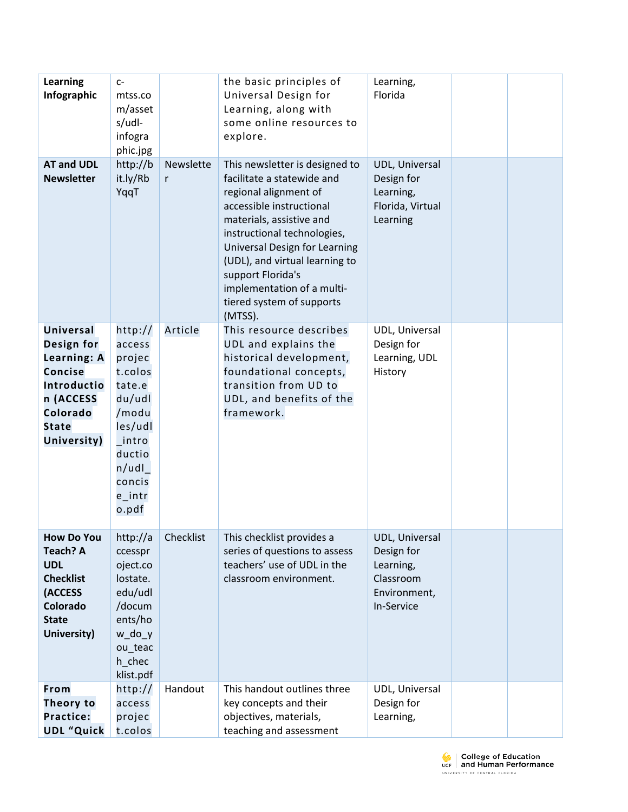| <b>Learning</b><br>Infographic<br><b>AT and UDL</b><br><b>Newsletter</b>                                                        | $C-$<br>mtss.co<br>m/asset<br>s/udl-<br>infogra<br>phic.jpg<br>http://b<br>it.ly/Rb                                                         | Newslette<br>r | the basic principles of<br>Universal Design for<br>Learning, along with<br>some online resources to<br>explore.<br>This newsletter is designed to<br>facilitate a statewide and                                                                                            | Learning,<br>Florida<br>UDL, Universal<br>Design for                                 |  |
|---------------------------------------------------------------------------------------------------------------------------------|---------------------------------------------------------------------------------------------------------------------------------------------|----------------|----------------------------------------------------------------------------------------------------------------------------------------------------------------------------------------------------------------------------------------------------------------------------|--------------------------------------------------------------------------------------|--|
|                                                                                                                                 | YqqT                                                                                                                                        |                | regional alignment of<br>accessible instructional<br>materials, assistive and<br>instructional technologies,<br>Universal Design for Learning<br>(UDL), and virtual learning to<br>support Florida's<br>implementation of a multi-<br>tiered system of supports<br>(MTSS). | Learning,<br>Florida, Virtual<br>Learning                                            |  |
| <b>Universal</b><br>Design for<br>Learning: A<br>Concise<br>Introductio<br>n (ACCESS<br>Colorado<br><b>State</b><br>University) | http://<br>access<br>projec<br>t.colos<br>tate.e<br>du/udl<br>/modu<br>les/udl<br>_intro<br>ductio<br>n/udl<br>concis<br>$e$ _intr<br>o.pdf | Article        | This resource describes<br>UDL and explains the<br>historical development,<br>foundational concepts,<br>transition from UD to<br>UDL, and benefits of the<br>framework.                                                                                                    | UDL, Universal<br>Design for<br>Learning, UDL<br>History                             |  |
| <b>How Do You</b><br><b>Teach? A</b><br><b>UDL</b><br><b>Checklist</b><br>(ACCESS<br>Colorado<br><b>State</b><br>University)    | http://a<br>ccesspr<br>oject.co<br>lostate.<br>edu/udl<br>/docum<br>ents/ho<br>$w_d$ do $y$<br>ou_teac<br>h_chec<br>klist.pdf               | Checklist      | This checklist provides a<br>series of questions to assess<br>teachers' use of UDL in the<br>classroom environment.                                                                                                                                                        | UDL, Universal<br>Design for<br>Learning,<br>Classroom<br>Environment,<br>In-Service |  |
| From<br>Theory to<br><b>Practice:</b><br><b>UDL "Quick</b>                                                                      | http://<br>access<br>projec<br>t.colos                                                                                                      | Handout        | This handout outlines three<br>key concepts and their<br>objectives, materials,<br>teaching and assessment                                                                                                                                                                 | UDL, Universal<br>Design for<br>Learning,                                            |  |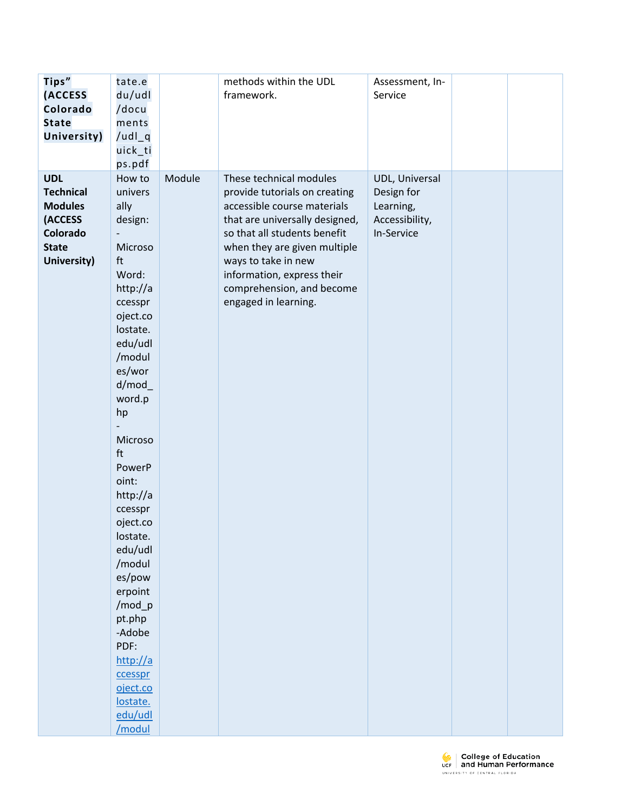| Tips"            | tate.e   |        | methods within the UDL         | Assessment, In- |  |
|------------------|----------|--------|--------------------------------|-----------------|--|
| (ACCESS          | du/udl   |        | framework.                     | Service         |  |
| Colorado         | /docu    |        |                                |                 |  |
| <b>State</b>     | ments    |        |                                |                 |  |
| University)      | /udl_q   |        |                                |                 |  |
|                  | uick_ti  |        |                                |                 |  |
|                  | ps.pdf   |        |                                |                 |  |
|                  | How to   |        |                                |                 |  |
| <b>UDL</b>       |          | Module | These technical modules        | UDL, Universal  |  |
| <b>Technical</b> | univers  |        | provide tutorials on creating  | Design for      |  |
| <b>Modules</b>   | ally     |        | accessible course materials    | Learning,       |  |
| (ACCESS          | design:  |        | that are universally designed, | Accessibility,  |  |
| Colorado         |          |        | so that all students benefit   | In-Service      |  |
| <b>State</b>     | Microso  |        | when they are given multiple   |                 |  |
| University)      | ft       |        | ways to take in new            |                 |  |
|                  | Word:    |        | information, express their     |                 |  |
|                  | http://a |        | comprehension, and become      |                 |  |
|                  | ccesspr  |        | engaged in learning.           |                 |  |
|                  | oject.co |        |                                |                 |  |
|                  | lostate. |        |                                |                 |  |
|                  | edu/udl  |        |                                |                 |  |
|                  | /modul   |        |                                |                 |  |
|                  | es/wor   |        |                                |                 |  |
|                  | d/mol    |        |                                |                 |  |
|                  | word.p   |        |                                |                 |  |
|                  | hp       |        |                                |                 |  |
|                  |          |        |                                |                 |  |
|                  | Microso  |        |                                |                 |  |
|                  | ft       |        |                                |                 |  |
|                  | PowerP   |        |                                |                 |  |
|                  | oint:    |        |                                |                 |  |
|                  | http://a |        |                                |                 |  |
|                  | ccesspr  |        |                                |                 |  |
|                  | oject.co |        |                                |                 |  |
|                  | lostate. |        |                                |                 |  |
|                  | edu/udl  |        |                                |                 |  |
|                  | /modul   |        |                                |                 |  |
|                  | es/pow   |        |                                |                 |  |
|                  | erpoint  |        |                                |                 |  |
|                  | /mod_p   |        |                                |                 |  |
|                  | pt.php   |        |                                |                 |  |
|                  | -Adobe   |        |                                |                 |  |
|                  |          |        |                                |                 |  |
|                  | PDF:     |        |                                |                 |  |
|                  | http://a |        |                                |                 |  |
|                  | ccesspr  |        |                                |                 |  |
|                  | oject.co |        |                                |                 |  |
|                  | lostate. |        |                                |                 |  |
|                  | edu/udl  |        |                                |                 |  |
|                  | /modul   |        |                                |                 |  |

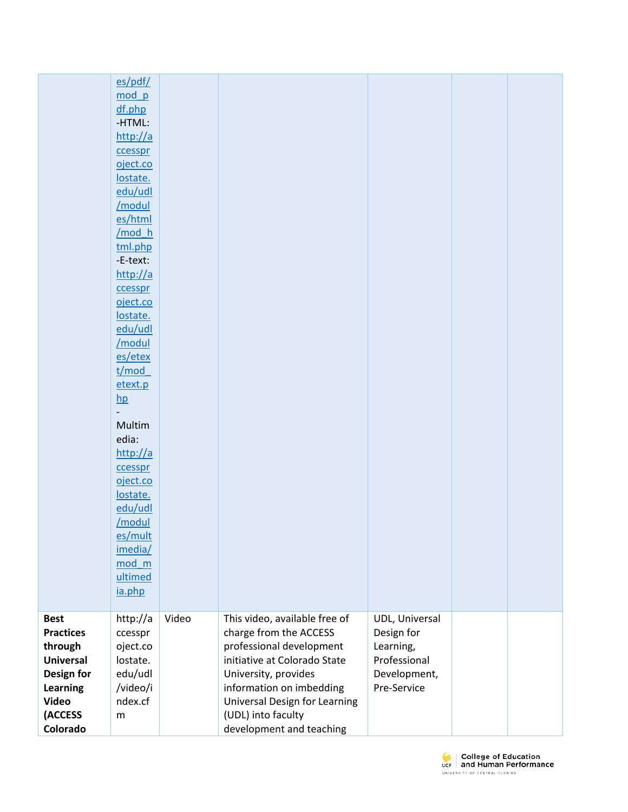|                  | es/pdf/                  |       |                               |                |  |
|------------------|--------------------------|-------|-------------------------------|----------------|--|
|                  | mod p                    |       |                               |                |  |
|                  |                          |       |                               |                |  |
|                  | df.php                   |       |                               |                |  |
|                  | -HTML:                   |       |                               |                |  |
|                  | http://a                 |       |                               |                |  |
|                  | ccesspr                  |       |                               |                |  |
|                  |                          |       |                               |                |  |
|                  | oject.co                 |       |                               |                |  |
|                  | lostate.                 |       |                               |                |  |
|                  | edu/udl                  |       |                               |                |  |
|                  | /modul                   |       |                               |                |  |
|                  | es/html                  |       |                               |                |  |
|                  |                          |       |                               |                |  |
|                  | /mod_h                   |       |                               |                |  |
|                  | tml.php                  |       |                               |                |  |
|                  | -E-text:                 |       |                               |                |  |
|                  | http://a                 |       |                               |                |  |
|                  | ccesspr                  |       |                               |                |  |
|                  |                          |       |                               |                |  |
|                  | oject.co                 |       |                               |                |  |
|                  | lostate.                 |       |                               |                |  |
|                  | edu/udl                  |       |                               |                |  |
|                  | /modul                   |       |                               |                |  |
|                  | es/etex                  |       |                               |                |  |
|                  |                          |       |                               |                |  |
|                  | t/mod                    |       |                               |                |  |
|                  | etext.p                  |       |                               |                |  |
|                  | hp                       |       |                               |                |  |
|                  | $\overline{\phantom{a}}$ |       |                               |                |  |
|                  | Multim                   |       |                               |                |  |
|                  |                          |       |                               |                |  |
|                  | edia:                    |       |                               |                |  |
|                  | http://a                 |       |                               |                |  |
|                  | ccesspr                  |       |                               |                |  |
|                  | oject.co                 |       |                               |                |  |
|                  | lostate.                 |       |                               |                |  |
|                  |                          |       |                               |                |  |
|                  | edu/udl                  |       |                               |                |  |
|                  | /modul                   |       |                               |                |  |
|                  | es/mult                  |       |                               |                |  |
|                  | imedia/                  |       |                               |                |  |
|                  | mod m                    |       |                               |                |  |
|                  | ultimed                  |       |                               |                |  |
|                  |                          |       |                               |                |  |
|                  | ia.php                   |       |                               |                |  |
|                  |                          |       |                               |                |  |
| <b>Best</b>      | http://a                 | Video | This video, available free of | UDL, Universal |  |
| <b>Practices</b> | ccesspr                  |       | charge from the ACCESS        | Design for     |  |
| through          | oject.co                 |       | professional development      | Learning,      |  |
| <b>Universal</b> | lostate.                 |       | initiative at Colorado State  | Professional   |  |
|                  |                          |       |                               |                |  |
| Design for       | edu/udl                  |       | University, provides          | Development,   |  |
| Learning         | /video/i                 |       | information on imbedding      | Pre-Service    |  |
| Video            | ndex.cf                  |       | Universal Design for Learning |                |  |
| <b>(ACCESS</b>   | ${\sf m}$                |       | (UDL) into faculty            |                |  |
| Colorado         |                          |       | development and teaching      |                |  |
|                  |                          |       |                               |                |  |

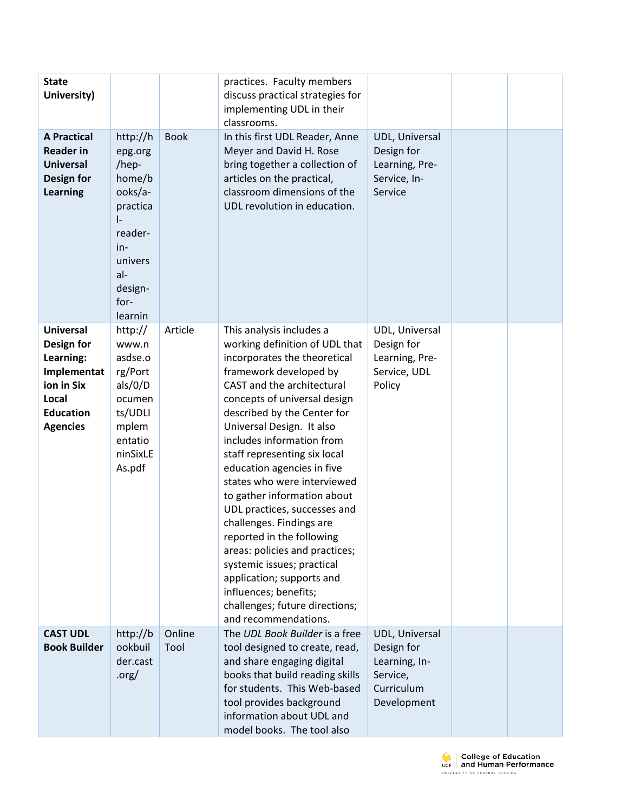| <b>State</b><br>University)                                                                                              |                                                                                                                                         |                | practices. Faculty members<br>discuss practical strategies for<br>implementing UDL in their<br>classrooms.                                                                                                                                                                                                                                                                                                                                                                                                                                                                                                                                                                       |                                                                                        |  |
|--------------------------------------------------------------------------------------------------------------------------|-----------------------------------------------------------------------------------------------------------------------------------------|----------------|----------------------------------------------------------------------------------------------------------------------------------------------------------------------------------------------------------------------------------------------------------------------------------------------------------------------------------------------------------------------------------------------------------------------------------------------------------------------------------------------------------------------------------------------------------------------------------------------------------------------------------------------------------------------------------|----------------------------------------------------------------------------------------|--|
| <b>A Practical</b><br><b>Reader in</b><br><b>Universal</b><br><b>Design for</b><br><b>Learning</b>                       | http://h<br>epg.org<br>/hep-<br>home/b<br>ooks/a-<br>practica<br>I-<br>reader-<br>in-<br>univers<br>$al-$<br>design-<br>for-<br>learnin | <b>Book</b>    | In this first UDL Reader, Anne<br>Meyer and David H. Rose<br>bring together a collection of<br>articles on the practical,<br>classroom dimensions of the<br>UDL revolution in education.                                                                                                                                                                                                                                                                                                                                                                                                                                                                                         | UDL, Universal<br>Design for<br>Learning, Pre-<br>Service, In-<br>Service              |  |
| <b>Universal</b><br>Design for<br>Learning:<br>Implementat<br>ion in Six<br>Local<br><b>Education</b><br><b>Agencies</b> | http://<br>www.n<br>asdse.o<br>rg/Port<br>als/O/D<br>ocumen<br>ts/UDLI<br>mplem<br>entatio<br>ninSixLE<br>As.pdf                        | Article        | This analysis includes a<br>working definition of UDL that<br>incorporates the theoretical<br>framework developed by<br>CAST and the architectural<br>concepts of universal design<br>described by the Center for<br>Universal Design. It also<br>includes information from<br>staff representing six local<br>education agencies in five<br>states who were interviewed<br>to gather information about<br>UDL practices, successes and<br>challenges. Findings are<br>reported in the following<br>areas: policies and practices;<br>systemic issues; practical<br>application; supports and<br>influences; benefits;<br>challenges; future directions;<br>and recommendations. | UDL, Universal<br>Design for<br>Learning, Pre-<br>Service, UDL<br>Policy               |  |
| <b>CAST UDL</b><br><b>Book Builder</b>                                                                                   | http://b<br>ookbuil<br>der.cast<br>.org/                                                                                                | Online<br>Tool | The UDL Book Builder is a free<br>tool designed to create, read,<br>and share engaging digital<br>books that build reading skills<br>for students. This Web-based<br>tool provides background<br>information about UDL and<br>model books. The tool also                                                                                                                                                                                                                                                                                                                                                                                                                         | UDL, Universal<br>Design for<br>Learning, In-<br>Service,<br>Curriculum<br>Development |  |

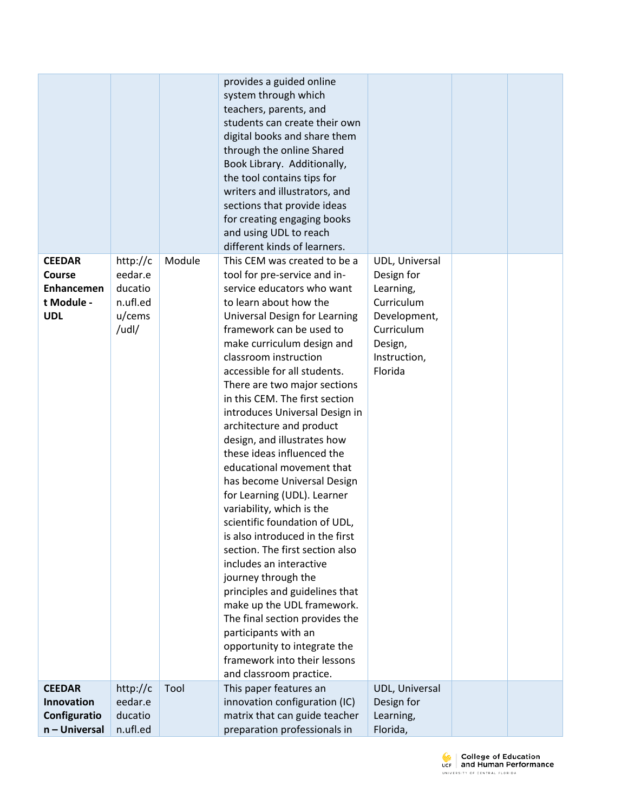|                                                                          |                                                                  |        | provides a guided online<br>system through which<br>teachers, parents, and<br>students can create their own<br>digital books and share them<br>through the online Shared<br>Book Library. Additionally,<br>the tool contains tips for<br>writers and illustrators, and<br>sections that provide ideas<br>for creating engaging books<br>and using UDL to reach<br>different kinds of learners.                                                                                                                                                                                                                                                                                                                                                                                                                                                                                                                                                   |                                                                                                                             |  |
|--------------------------------------------------------------------------|------------------------------------------------------------------|--------|--------------------------------------------------------------------------------------------------------------------------------------------------------------------------------------------------------------------------------------------------------------------------------------------------------------------------------------------------------------------------------------------------------------------------------------------------------------------------------------------------------------------------------------------------------------------------------------------------------------------------------------------------------------------------------------------------------------------------------------------------------------------------------------------------------------------------------------------------------------------------------------------------------------------------------------------------|-----------------------------------------------------------------------------------------------------------------------------|--|
| <b>CEEDAR</b><br>Course<br><b>Enhancemen</b><br>t Module -<br><b>UDL</b> | http:// $c$<br>eedar.e<br>ducatio<br>n.ufl.ed<br>u/cems<br>/udl/ | Module | This CEM was created to be a<br>tool for pre-service and in-<br>service educators who want<br>to learn about how the<br>Universal Design for Learning<br>framework can be used to<br>make curriculum design and<br>classroom instruction<br>accessible for all students.<br>There are two major sections<br>in this CEM. The first section<br>introduces Universal Design in<br>architecture and product<br>design, and illustrates how<br>these ideas influenced the<br>educational movement that<br>has become Universal Design<br>for Learning (UDL). Learner<br>variability, which is the<br>scientific foundation of UDL,<br>is also introduced in the first<br>section. The first section also<br>includes an interactive<br>journey through the<br>principles and guidelines that<br>make up the UDL framework.<br>The final section provides the<br>participants with an<br>opportunity to integrate the<br>framework into their lessons | UDL, Universal<br>Design for<br>Learning,<br>Curriculum<br>Development,<br>Curriculum<br>Design,<br>Instruction,<br>Florida |  |
| <b>CEEDAR</b><br>Innovation<br>Configuratio<br>n - Universal             | http:// $c$<br>eedar.e<br>ducatio<br>n.ufl.ed                    | Tool   | and classroom practice.<br>This paper features an<br>innovation configuration (IC)<br>matrix that can guide teacher<br>preparation professionals in                                                                                                                                                                                                                                                                                                                                                                                                                                                                                                                                                                                                                                                                                                                                                                                              | UDL, Universal<br>Design for<br>Learning,<br>Florida,                                                                       |  |

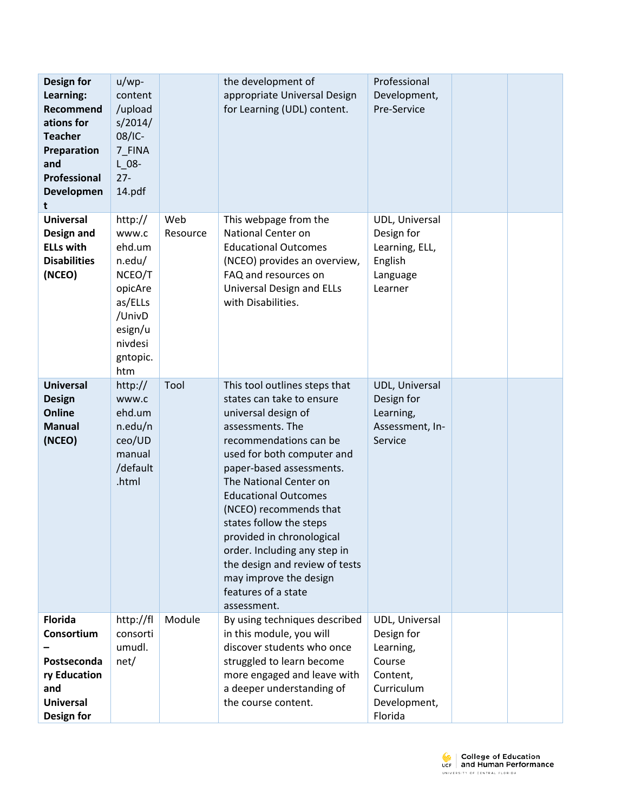| Design for<br>Learning:<br>Recommend<br>ations for<br><b>Teacher</b><br>Preparation<br>and<br>Professional<br>Developmen<br>t | $u/wp$ -<br>content<br>/upload<br>s/2014/<br>08/IC-<br>7 FINA<br>$L_08-$<br>$27 -$<br>14.pdf                            |                 | the development of<br>appropriate Universal Design<br>for Learning (UDL) content.                                                                                                                                                                                                                                                                                                                                                                                      | Professional<br>Development,<br>Pre-Service                                                              |  |
|-------------------------------------------------------------------------------------------------------------------------------|-------------------------------------------------------------------------------------------------------------------------|-----------------|------------------------------------------------------------------------------------------------------------------------------------------------------------------------------------------------------------------------------------------------------------------------------------------------------------------------------------------------------------------------------------------------------------------------------------------------------------------------|----------------------------------------------------------------------------------------------------------|--|
| <b>Universal</b><br>Design and<br><b>ELLs with</b><br><b>Disabilities</b><br>(NCEO)                                           | http://<br>www.c<br>ehd.um<br>n.edu/<br>NCEO/T<br>opicAre<br>as/ELLs<br>/UnivD<br>esign/u<br>nivdesi<br>gntopic.<br>htm | Web<br>Resource | This webpage from the<br>National Center on<br><b>Educational Outcomes</b><br>(NCEO) provides an overview,<br>FAQ and resources on<br><b>Universal Design and ELLs</b><br>with Disabilities.                                                                                                                                                                                                                                                                           | UDL, Universal<br>Design for<br>Learning, ELL,<br>English<br>Language<br>Learner                         |  |
| <b>Universal</b><br><b>Design</b><br>Online<br><b>Manual</b><br>(NCEO)                                                        | http://<br>www.c<br>ehd.um<br>$n$ .edu/n<br>ceo/UD<br>manual<br>/default<br>.html                                       | Tool            | This tool outlines steps that<br>states can take to ensure<br>universal design of<br>assessments. The<br>recommendations can be<br>used for both computer and<br>paper-based assessments.<br>The National Center on<br><b>Educational Outcomes</b><br>(NCEO) recommends that<br>states follow the steps<br>provided in chronological<br>order. Including any step in<br>the design and review of tests<br>may improve the design<br>features of a state<br>assessment. | UDL, Universal<br>Design for<br>Learning,<br>Assessment, In-<br>Service                                  |  |
| <b>Florida</b><br>Consortium<br>Postseconda<br>ry Education<br>and<br><b>Universal</b><br>Design for                          | http://fl<br>consorti<br>umudl.<br>net/                                                                                 | Module          | By using techniques described<br>in this module, you will<br>discover students who once<br>struggled to learn become<br>more engaged and leave with<br>a deeper understanding of<br>the course content.                                                                                                                                                                                                                                                                | UDL, Universal<br>Design for<br>Learning,<br>Course<br>Content,<br>Curriculum<br>Development,<br>Florida |  |

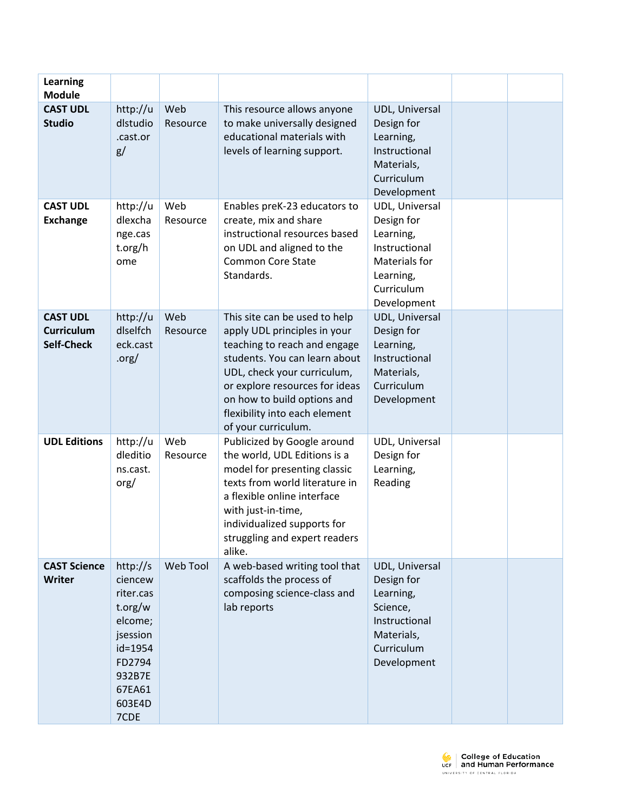| <b>Learning</b><br><b>Module</b>                          |                                                                                                                               |                 |                                                                                                                                                                                                                                                                                        |                                                                                                                       |  |
|-----------------------------------------------------------|-------------------------------------------------------------------------------------------------------------------------------|-----------------|----------------------------------------------------------------------------------------------------------------------------------------------------------------------------------------------------------------------------------------------------------------------------------------|-----------------------------------------------------------------------------------------------------------------------|--|
| <b>CAST UDL</b><br><b>Studio</b>                          | http://u<br>dlstudio<br>.cast.or<br>g/                                                                                        | Web<br>Resource | This resource allows anyone<br>to make universally designed<br>educational materials with<br>levels of learning support.                                                                                                                                                               | <b>UDL, Universal</b><br>Design for<br>Learning,<br>Instructional<br>Materials,<br>Curriculum<br>Development          |  |
| <b>CAST UDL</b><br><b>Exchange</b>                        | http://u<br>dlexcha<br>nge.cas<br>t.org/h<br>ome                                                                              | Web<br>Resource | Enables preK-23 educators to<br>create, mix and share<br>instructional resources based<br>on UDL and aligned to the<br><b>Common Core State</b><br>Standards.                                                                                                                          | UDL, Universal<br>Design for<br>Learning,<br>Instructional<br>Materials for<br>Learning,<br>Curriculum<br>Development |  |
| <b>CAST UDL</b><br><b>Curriculum</b><br><b>Self-Check</b> | http://u<br>dlselfch<br>eck.cast<br>.org/                                                                                     | Web<br>Resource | This site can be used to help<br>apply UDL principles in your<br>teaching to reach and engage<br>students. You can learn about<br>UDL, check your curriculum,<br>or explore resources for ideas<br>on how to build options and<br>flexibility into each element<br>of your curriculum. | UDL, Universal<br>Design for<br>Learning,<br>Instructional<br>Materials,<br>Curriculum<br>Development                 |  |
| <b>UDL Editions</b>                                       | http://u<br>dleditio<br>ns.cast.<br>org/                                                                                      | Web<br>Resource | Publicized by Google around<br>the world, UDL Editions is a<br>model for presenting classic<br>texts from world literature in<br>a flexible online interface<br>with just-in-time,<br>individualized supports for<br>struggling and expert readers<br>alike.                           | UDL, Universal<br>Design for<br>Learning,<br>Reading                                                                  |  |
| <b>CAST Science</b><br>Writer                             | http://s<br>ciencew<br>riter.cas<br>t.org/w<br>elcome;<br>jsession<br>id=1954<br>FD2794<br>932B7E<br>67EA61<br>603E4D<br>7CDE | Web Tool        | A web-based writing tool that<br>scaffolds the process of<br>composing science-class and<br>lab reports                                                                                                                                                                                | UDL, Universal<br>Design for<br>Learning,<br>Science,<br>Instructional<br>Materials,<br>Curriculum<br>Development     |  |